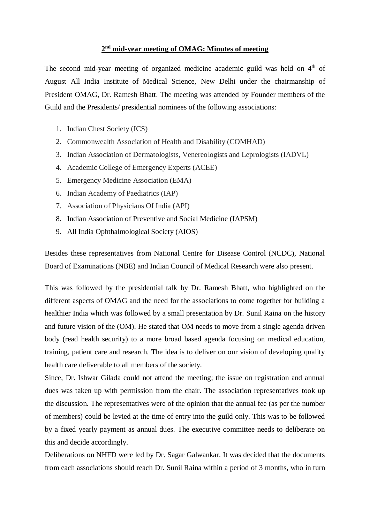## **2 nd mid-year meeting of OMAG: Minutes of meeting**

The second mid-year meeting of organized medicine academic guild was held on 4<sup>th</sup> of August All India Institute of Medical Science, New Delhi under the chairmanship of President OMAG, Dr. Ramesh Bhatt. The meeting was attended by Founder members of the Guild and the Presidents/ presidential nominees of the following associations:

- 1. Indian Chest Society (ICS)
- 2. Commonwealth Association of Health and Disability (COMHAD)
- 3. Indian Association of Dermatologists, Venereologists and Leprologists (IADVL)
- 4. Academic College of Emergency Experts (ACEE)
- 5. Emergency Medicine Association (EMA)
- 6. Indian Academy of Paediatrics (IAP)
- 7. Association of Physicians Of India (API)
- 8. Indian Association of Preventive and Social Medicine (IAPSM)
- 9. All India Ophthalmological Society (AIOS)

Besides these representatives from National Centre for Disease Control (NCDC), National Board of Examinations (NBE) and Indian Council of Medical Research were also present.

This was followed by the presidential talk by Dr. Ramesh Bhatt, who highlighted on the different aspects of OMAG and the need for the associations to come together for building a healthier India which was followed by a small presentation by Dr. Sunil Raina on the history and future vision of the (OM). He stated that OM needs to move from a single agenda driven body (read health security) to a more broad based agenda focusing on medical education, training, patient care and research. The idea is to deliver on our vision of developing quality health care deliverable to all members of the society.

Since, Dr. Ishwar Gilada could not attend the meeting; the issue on registration and annual dues was taken up with permission from the chair. The association representatives took up the discussion. The representatives were of the opinion that the annual fee (as per the number of members) could be levied at the time of entry into the guild only. This was to be followed by a fixed yearly payment as annual dues. The executive committee needs to deliberate on this and decide accordingly.

Deliberations on NHFD were led by Dr. Sagar Galwankar. It was decided that the documents from each associations should reach Dr. Sunil Raina within a period of 3 months, who in turn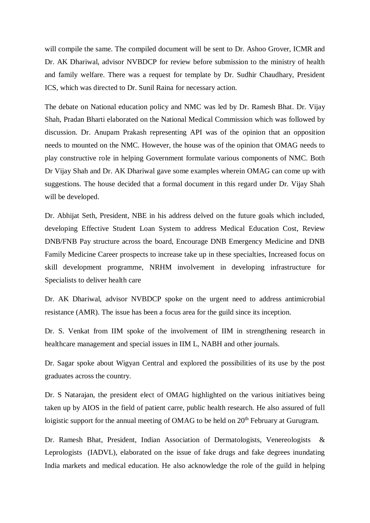will compile the same. The compiled document will be sent to Dr. Ashoo Grover, ICMR and Dr. AK Dhariwal, advisor NVBDCP for review before submission to the ministry of health and family welfare. There was a request for template by Dr. Sudhir Chaudhary, President ICS, which was directed to Dr. Sunil Raina for necessary action.

The debate on National education policy and NMC was led by Dr. Ramesh Bhat. Dr. Vijay Shah, Pradan Bharti elaborated on the National Medical Commission which was followed by discussion. Dr. Anupam Prakash representing API was of the opinion that an opposition needs to mounted on the NMC. However, the house was of the opinion that OMAG needs to play constructive role in helping Government formulate various components of NMC. Both Dr Vijay Shah and Dr. AK Dhariwal gave some examples wherein OMAG can come up with suggestions. The house decided that a formal document in this regard under Dr. Vijay Shah will be developed.

Dr. Abhijat Seth, President, NBE in his address delved on the future goals which included, developing Effective Student Loan System to address Medical Education Cost, Review DNB/FNB Pay structure across the board, Encourage DNB Emergency Medicine and DNB Family Medicine Career prospects to increase take up in these specialties, Increased focus on skill development programme, NRHM involvement in developing infrastructure for Specialists to deliver health care

Dr. AK Dhariwal, advisor NVBDCP spoke on the urgent need to address antimicrobial resistance (AMR). The issue has been a focus area for the guild since its inception.

Dr. S. Venkat from IIM spoke of the involvement of IIM in strengthening research in healthcare management and special issues in IIM L, NABH and other journals.

Dr. Sagar spoke about Wigyan Central and explored the possibilities of its use by the post graduates across the country.

Dr. S Natarajan, the president elect of OMAG highlighted on the various initiatives being taken up by AIOS in the field of patient carre, public health research. He also assured of full loigistic support for the annual meeting of OMAG to be held on  $20<sup>th</sup>$  February at Gurugram.

Dr. Ramesh Bhat, President, Indian Association of Dermatologists, Venereologists & Leprologists (IADVL), elaborated on the issue of fake drugs and fake degrees inundating India markets and medical education. He also acknowledge the role of the guild in helping